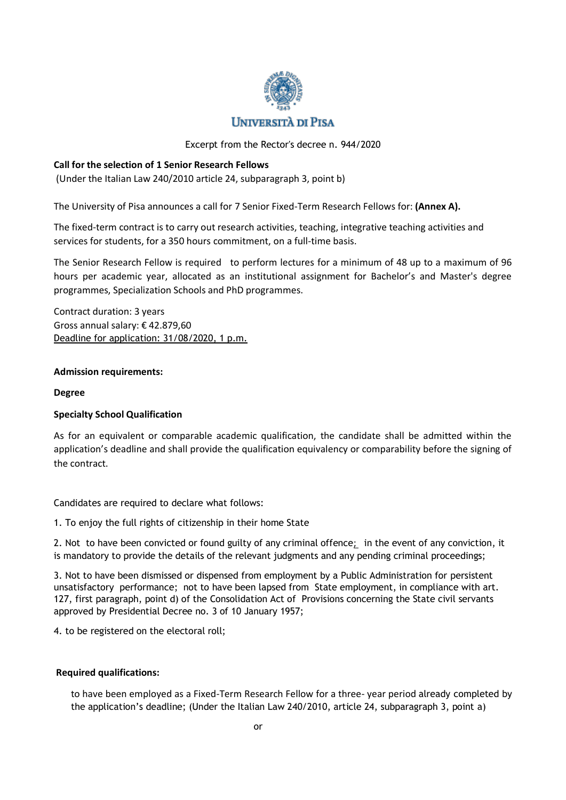

# **UNIVERSITÀ DI PISA**

Excerpt from the Rector's decree n. 944/2020

## **Call for the selection of 1 Senior Research Fellows**

(Under the Italian Law 240/2010 article 24, subparagraph 3, point b)

The University of Pisa announces a call for 7 Senior Fixed-Term Research Fellows for: **(Annex A).**

The fixed-term contract is to carry out research activities, teaching, integrative teaching activities and services for students, for a 350 hours commitment, on a full-time basis.

The Senior Research Fellow is required to perform lectures for a minimum of 48 up to a maximum of 96 hours per academic year, allocated as an institutional assignment for Bachelor's and Master's degree programmes, Specialization Schools and PhD programmes.

Contract duration: 3 years Gross annual salary: € 42.879,60 Deadline for application: 31/08/2020, 1 p.m.

## **Admission requirements:**

## **Degree**

## **Specialty School Qualification**

As for an equivalent or comparable academic qualification, the candidate shall be admitted within the application's deadline and shall provide the qualification equivalency or comparability before the signing of the contract.

Candidates are required to declare what follows:

1. To enjoy the full rights of citizenship in their home State

2. Not to have been convicted [or found guilty of any criminal offence](https://context.reverso.net/traduzione/inglese-italiano/or+found+guilty+of+any+criminal+offence); in the event of any conviction, it is mandatory to provide the details of the relevant judgments and any pending criminal proceedings;

3. Not to have been dismissed or dispensed from employment by a Public Administration for persistent unsatisfactory performance; not to have been lapsed from State employment, in compliance with art. 127, first paragraph, point d) of the Consolidation Act of Provisions concerning the State civil servants approved by Presidential Decree no. 3 of 10 January 1957;

4. to be registered on the electoral roll;

## **Required qualifications:**

to have been employed as a Fixed-Term Research Fellow for a three- year period already completed by the application's deadline; (Under the Italian Law 240/2010, article 24, subparagraph 3, point a)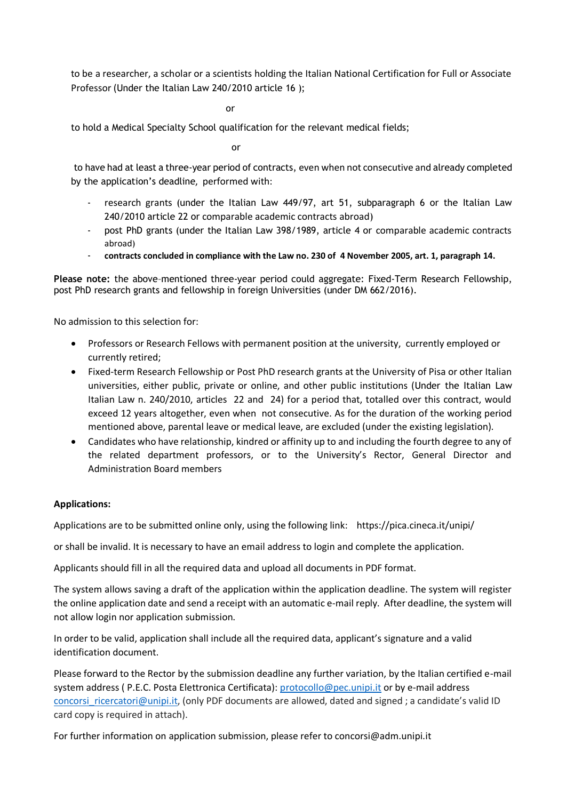to be a researcher, a scholar or a scientists holding the Italian National Certification for Full or Associate Professor (Under the Italian Law 240/2010 article 16 );

or

to hold a Medical Specialty School qualification for the relevant medical fields;

or

to have had at least a three-year period of contracts, even when not consecutive and already completed by the application's deadline, performed with:

- research grants (under the Italian Law 449/97, art 51, subparagraph 6 or the Italian Law 240/2010 article 22 or comparable academic contracts abroad)
- post PhD grants (under the Italian Law 398/1989, article 4 or comparable academic contracts abroad)
- **contracts concluded in compliance with the Law no. 230 of 4 November 2005, art. 1, paragraph 14.**

**Please note:** the above–mentioned three-year period could aggregate: Fixed-Term Research Fellowship, post PhD research grants and fellowship in foreign Universities (under DM 662/2016).

No admission to this selection for:

- Professors or Research Fellows with permanent position at the university, currently employed or currently retired;
- Fixed-term Research Fellowship or Post PhD research grants at the University of Pisa or other Italian universities, either public, private or online, and other public institutions (Under the Italian Law Italian Law n. 240/2010, articles 22 and 24) for a period that, totalled over this contract, would exceed 12 years altogether, even when not consecutive. As for the duration of the working period mentioned above, parental leave or medical leave, are excluded (under the existing legislation).
- Candidates who have relationship, kindred or affinity up to and including the fourth degree to any of the related department professors, or to the University's Rector, General Director and Administration Board members

### **Applications:**

Applications are to be submitted online only, using the following link: https://pica.cineca.it/unipi/

or shall be invalid. It is necessary to have an email address to login and complete the application.

Applicants should fill in all the required data and upload all documents in PDF format.

The system allows saving a draft of the application within the application deadline. The system will register the online application date and send a receipt with an automatic e-mail reply. After deadline, the system will not allow login nor application submission.

In order to be valid, application shall include all the required data, applicant's signature and a valid identification document.

Please forward to the Rector by the submission deadline any further variation, by the Italian certified e-mail system address (P.E.C. Posta Elettronica Certificata)[: protocollo@pec.unipi.it](mailto:protocollo@pec.unipi.it) or by e-mail address concorsi ricercatori@unipi.it, (only PDF documents are allowed, dated and signed ; a candidate's valid ID card copy is required in attach).

For further information on application submission, please refer to concorsi@adm.unipi.it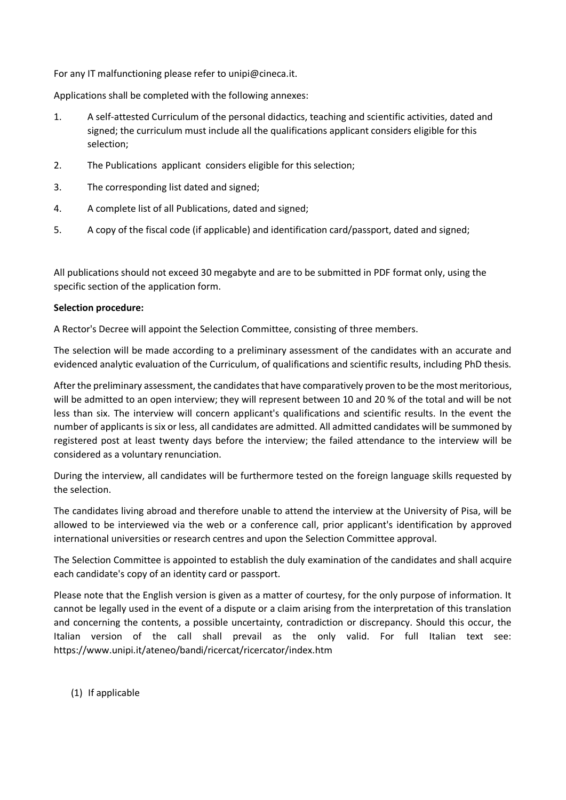For any IT malfunctioning please refer to unipi@cineca.it.

Applications shall be completed with the following annexes:

- 1. A self-attested Curriculum of the personal didactics, teaching and scientific activities, dated and signed; the curriculum must include all the qualifications applicant considers eligible for this selection;
- 2. The Publications applicant considers eligible for this selection;
- 3. The corresponding list dated and signed;
- 4. A complete list of all Publications, dated and signed;
- 5. A copy of the fiscal code (if applicable) and identification card/passport, dated and signed;

All publications should not exceed 30 megabyte and are to be submitted in PDF format only, using the specific section of the application form.

### **Selection procedure:**

A Rector's Decree will appoint the Selection Committee, consisting of three members.

The selection will be made according to a preliminary assessment of the candidates with an accurate and evidenced analytic evaluation of the Curriculum, of qualifications and scientific results, including PhD thesis.

After the preliminary assessment, the candidates that have comparatively proven to be the most meritorious, will be admitted to an open interview; they will represent between 10 and 20 % of the total and will be not less than six. The interview will concern applicant's qualifications and scientific results. In the event the number of applicants is six or less, all candidates are admitted. All admitted candidates will be summoned by registered post at least twenty days before the interview; the failed attendance to the interview will be considered as a voluntary renunciation.

During the interview, all candidates will be furthermore tested on the foreign language skills requested by the selection.

The candidates living abroad and therefore unable to attend the interview at the University of Pisa, will be allowed to be interviewed via the web or a conference call, prior applicant's identification by approved international universities or research centres and upon the Selection Committee approval.

The Selection Committee is appointed to establish the duly examination of the candidates and shall acquire each candidate's copy of an identity card or passport.

Please note that the English version is given as a matter of courtesy, for the only purpose of information. It cannot be legally used in the event of a dispute or a claim arising from the interpretation of this translation and concerning the contents, a possible uncertainty, contradiction or discrepancy. Should this occur, the Italian version of the call shall prevail as the only valid. For full Italian text see: https://www.unipi.it/ateneo/bandi/ricercat/ricercator/index.htm

(1) If applicable